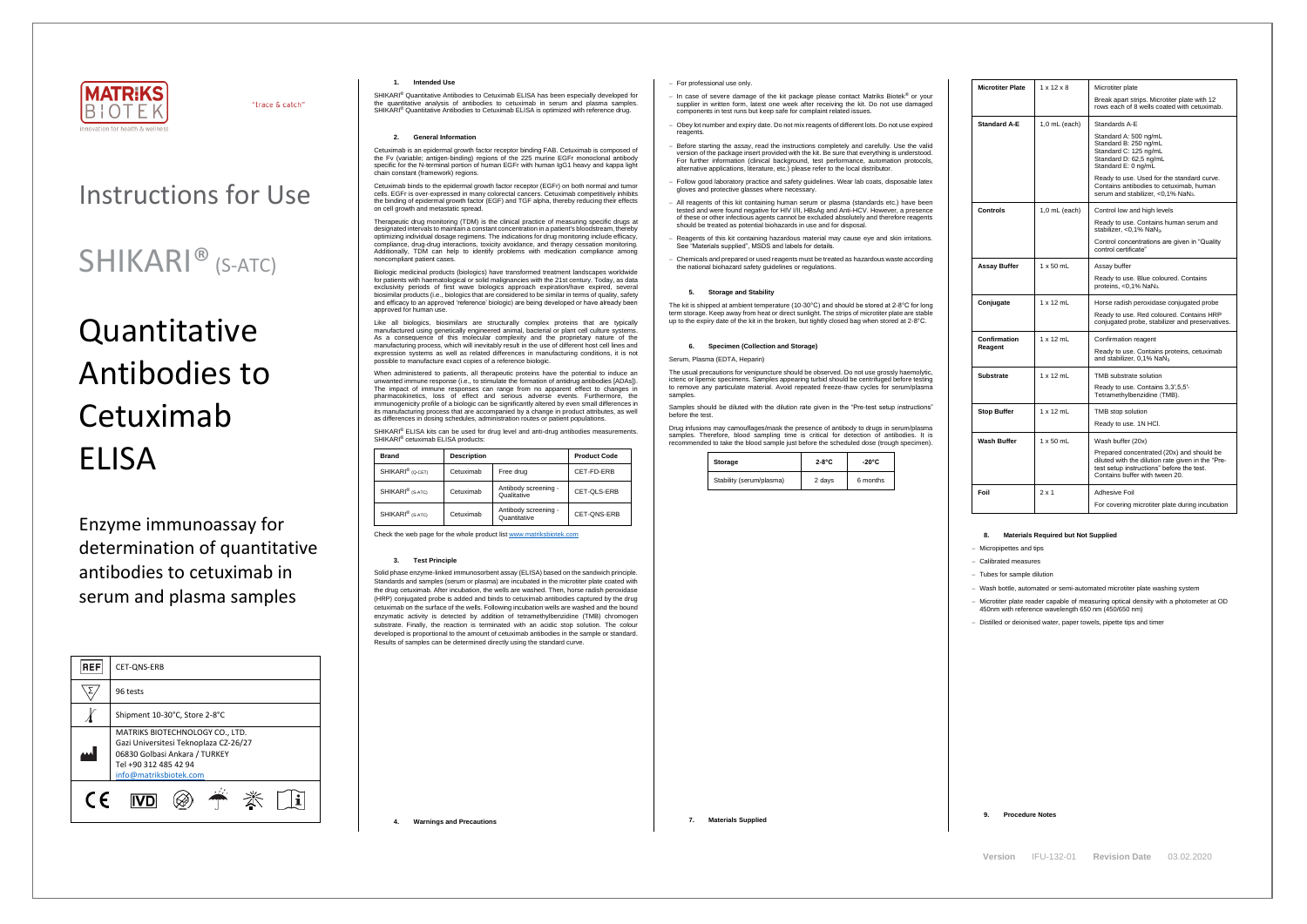

"trace & catch"

**Version** IFU-132-01 **Revision Date** 03.02.2020

# Instructions for Use

## SHIKARI® (S-ATC)

# Quantitative Antibodies to Cetuximab ELISA

Enzyme immunoassay for determination of quantitative antibodies to cetuximab in serum and plasma samples

| <b>REF</b> | CET-QNS-ERB                                                                                                                                                  |  |  |  |  |
|------------|--------------------------------------------------------------------------------------------------------------------------------------------------------------|--|--|--|--|
|            | 96 tests                                                                                                                                                     |  |  |  |  |
|            | Shipment 10-30°C, Store 2-8°C                                                                                                                                |  |  |  |  |
|            | MATRIKS BIOTECHNOLOGY CO., LTD.<br>Gazi Universitesi Teknoplaza CZ-26/27<br>06830 Golbasi Ankara / TURKEY<br>Tel +90 312 485 42 94<br>info@matriksbiotek.com |  |  |  |  |
| C E        |                                                                                                                                                              |  |  |  |  |

#### **1. Intended Use**

SHIKARI® Quantitative Antibodies to Cetuximab ELISA has been especially developed for the quantitative analysis of antibodies to cetuximab in serum and plasma samples. SHIKARI® Quantitative Antibodies to Cetuximab ELISA is optimized with reference drug.

### **2. General Information**

Cetuximab is an epidermal growth factor receptor binding FAB. Cetuximab is composed of the Fv (variable; antigen-binding) regions of the 225 murine EGFr monoclonal antibody specific for the N-terminal portion of human EGFr with human IgG1 heavy and kappa light chain constant (framework) regions.

Cetuximab binds to the epidermal growth factor receptor (EGFr) on both normal and tumor cells. EGFr is over-expressed in many colorectal cancers. Cetuximab competitively inhibits the binding of epidermal growth factor (EGF) and TGF alpha, thereby reducing their effects on cell growth and metastatic spread.

Therapeutic drug monitoring (TDM) is the clinical practice of measuring specific drugs at designated intervals to maintain a constant concentration in a patient's bloodstream, thereby optimizing individual dosage regimens. The indications for drug monitoring include efficacy, compliance, drug-drug interactions, toxicity avoidance, and therapy cessation monitoring. Additionally, TDM can help to identify problems with medication compliance among noncompliant patient cases.

When administered to patients, all therapeutic proteins have the potential to induce an unwanted immune response (i.e., to stimulate the formation of antidrug antibodies [ADAs]). The impact of immune responses can range from no apparent effect to changes in pharmacokinetics, loss of effect and serious adverse events. Furthermore, the immunogenicity profile of a biologic can be significantly altered by even small differences in its manufacturing process that are accompanied by a change in product attributes, as well as differences in dosing schedules, administration routes or patient populations.

SHIKARI<sup>®</sup> ELISA kits can be used for drug level and anti-drug antibodies measurements. SHIKARI® cetuximab ELISA products:

Biologic medicinal products (biologics) have transformed treatment landscapes worldwide for patients with haematological or solid malignancies with the 21st century. Today, as data exclusivity periods of first wave biologics approach expiration/have expired, several biosimilar products (i.e., biologics that are considered to be similar in terms of quality, safety and efficacy to an approved 'reference' biologic) are being developed or have already been approved for human use.

Like all biologics, biosimilars are structurally complex proteins that are typically manufactured using genetically engineered animal, bacterial or plant cell culture systems. As a consequence of this molecular complexity and the proprietary nature of the manufacturing process, which will inevitably result in the use of different host cell lines and expression systems as well as related differences in manufacturing conditions, it is not possible to manufacture exact copies of a reference biologic.

> The usual precautions for venipuncture should be observed. Do not use grossly haemolytic, icteric or lipemic specimens. Samples appearing turbid should be centrifuged before testing to remove any particulate material. Avoid repeated freeze-thaw cycles for serum/plasma samples

> Drug infusions may camouflages/mask the presence of antibody to drugs in serum/plas samples. Therefore, blood sampling time is critical for detection of antibodies. It is recommended to take the blood sample just before the scheduled dose (trough specimen).

| <b>Brand</b>                 | <b>Description</b> |                                      | <b>Product Code</b> |
|------------------------------|--------------------|--------------------------------------|---------------------|
| SHIKARI <sup>®</sup> (Q-CET) | Cetuximab          | Free drug                            | CET-FD-ERB          |
| SHIKARI <sup>®</sup> (S-ATC) | Cetuximab          | Antibody screening -<br>Qualitative  | CET-QLS-ERB         |
| SHIKARI <sup>®</sup> (S-ATC) | Cetuximab          | Antibody screening -<br>Quantitative | CET-ONS-ERB         |

Check the web page for the whole product lis[t www.matriksbiotek.com](http://www.matriksbiotek.com/)

#### **3. Test Principle**

Solid phase enzyme-linked immunosorbent assay (ELISA) based on the sandwich principle. Standards and samples (serum or plasma) are incubated in the microtiter plate coated with the drug cetuximab. After incubation, the wells are washed. Then, horse radish peroxidase (HRP) conjugated probe is added and binds to cetuximab antibodies captured by the drug cetuximab on the surface of the wells. Following incubation wells are washed and the bound enzymatic activity is detected by addition of tetramethylbenzidine (TMB) chromogen substrate. Finally, the reaction is terminated with an acidic stop solution. The colour developed is proportional to the amount of cetuximab antibodies in the sample or standard. Results of samples can be determined directly using the standard curve.

− Microtiter plate reader capable of measuring optical density with a photometer at OD 50nm with reference wavelength 650 nm (450/650 nm)

**4. Warnings and Precautions**

#### − For professional use only.

- − In case of severe damage of the kit package please contact Matriks Biotek® or your supplier in written form, latest one week after receiving the kit. Do not use damaged components in test runs but keep safe for complaint related issues.
- − Obey lot number and expiry date. Do not mix reagents of different lots. Do not use expired reagents.
- − Before starting the assay, read the instructions completely and carefully. Use the valid version of the package insert provided with the kit. Be sure that everything is understood. For further information (clinical background, test performance, automation protocols, alternative applications, literature, etc.) please refer to the local distributor.
- − Follow good laboratory practice and safety guidelines. Wear lab coats, disposable latex gloves and protective glasses where necessary.
- − All reagents of this kit containing human serum or plasma (standards etc.) have been tested and were found negative for HIV I/II, HBsAg and Anti-HCV. However, a presence of these or other infectious agents cannot be excluded absolutely and therefore reagents should be treated as potential biohazards in use and for disposal.
- Reagents of this kit containing hazardous material may cause eye and skin irritations. See "Materials supplied", MSDS and labels for details.
- − Chemicals and prepared or used reagents must be treated as hazardous waste according the national biohazard safety guidelines or regulations.

#### **5. Storage and Stability**

The kit is shipped at ambient temperature (10-30°C) and should be stored at 2-8°C for long term storage. Keep away from heat or direct sunlight. The strips of microtiter plate are stable up to the expiry date of the kit in the broken, but tightly closed bag when stored at 2-8°C.

#### **6. Specimen (Collection and Storage)**

#### Serum, Plasma (EDTA, Heparin)

Samples should be diluted with the dilution rate given in the "Pre-test setup instructions" before the test.

| Storage                  | $2-8$ °C | $-20^{\circ}$ C |
|--------------------------|----------|-----------------|
| Stability (serum/plasma) | 2 days   | 6 months        |

| 8  |
|----|
| Mi |
| Cε |
| Tu |
|    |

| V  |  |
|----|--|
| Mi |  |
| 5  |  |

| <b>Microtiter Plate</b> | $1 \times 12 \times 8$ | Microtiter plate<br>Break apart strips. Microtiter plate with 12                                                                                                              |
|-------------------------|------------------------|-------------------------------------------------------------------------------------------------------------------------------------------------------------------------------|
|                         |                        | rows each of 8 wells coated with cetuximab.                                                                                                                                   |
| <b>Standard A-E</b>     | $1,0$ mL (each)        | Standards A-E                                                                                                                                                                 |
|                         |                        | Standard A: 500 ng/mL<br>Standard B: 250 ng/mL<br>Standard C: 125 ng/mL<br>Standard D: 62,5 ng/mL<br>Standard E: 0 ng/mL                                                      |
|                         |                        | Ready to use. Used for the standard curve.<br>Contains antibodies to cetuximab, human<br>serum and stabilizer, <0,1% NaN <sub>3</sub> .                                       |
| <b>Controls</b>         | $1,0$ mL (each)        | Control low and high levels                                                                                                                                                   |
|                         |                        | Ready to use. Contains human serum and<br>stabilizer, <0,1% NaN <sub>3</sub> .                                                                                                |
|                         |                        | Control concentrations are given in "Quality"<br>control certificate"                                                                                                         |
| <b>Assay Buffer</b>     | $1 \times 50$ mL       | Assay buffer                                                                                                                                                                  |
|                         |                        | Ready to use. Blue coloured. Contains<br>proteins, $<$ 0,1% NaN <sub>3</sub> .                                                                                                |
| Conjugate               | $1 \times 12$ mL       | Horse radish peroxidase conjugated probe                                                                                                                                      |
|                         |                        | Ready to use. Red coloured. Contains HRP<br>conjugated probe, stabilizer and preservatives.                                                                                   |
| Confirmation            | $1 \times 12$ mL       | Confirmation reagent                                                                                                                                                          |
| Reagent                 |                        | Ready to use. Contains proteins, cetuximab<br>and stabilizer, 0,1% NaN <sub>3</sub>                                                                                           |
| Substrate               | $1 \times 12$ mL       | TMB substrate solution                                                                                                                                                        |
|                         |                        | Ready to use. Contains 3,3',5,5'-<br>Tetramethylbenzidine (TMB).                                                                                                              |
| <b>Stop Buffer</b>      | $1 \times 12$ mL       | TMB stop solution                                                                                                                                                             |
|                         |                        | Ready to use. 1N HCI.                                                                                                                                                         |
| Wash Buffer             | 1 x 50 mL              | Wash buffer (20x)                                                                                                                                                             |
|                         |                        | Prepared concentrated (20x) and should be<br>diluted with the dilution rate given in the "Pre-<br>test setup instructions" before the test.<br>Contains buffer with tween 20. |
| Foil                    | $2 \times 1$           | Adhesive Foil                                                                                                                                                                 |
|                         |                        | For covering microtiter plate during incubation                                                                                                                               |

#### **8. Materials Required but Not Supplied**

licropipettes and tips

− Calibrated measures

− Tubes for sample dilution

Vash bottle, automated or semi-automated microtiter plate washing system

− Distilled or deionised water, paper towels, pipette tips and timer

#### **9. Procedure Notes**